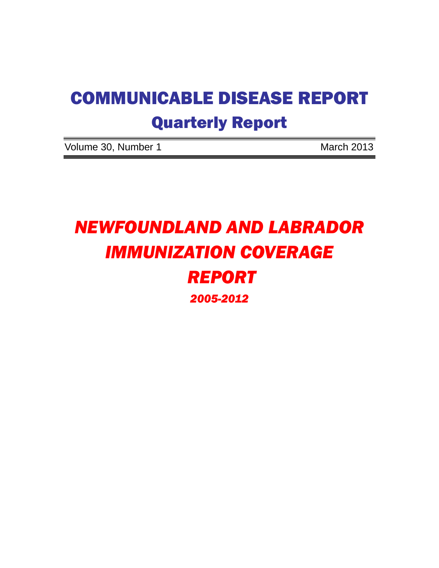# COMMUNICABLE DISEASE REPORT Quarterly Report

Volume 30, Number 1 March 2013

# *NEWFOUNDLAND AND LABRADOR IMMUNIZATION COVERAGE REPORT 2005-2012*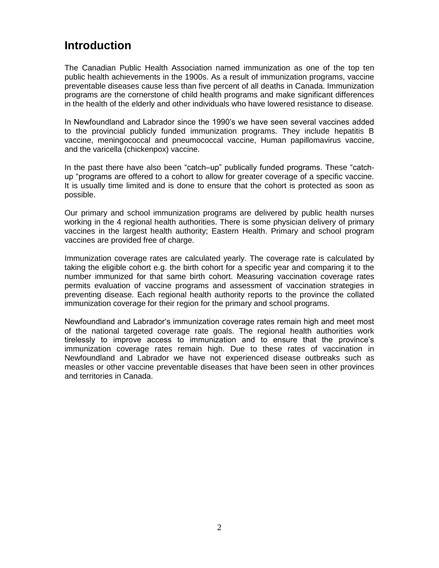# **Introduction**

The Canadian Public Health Association named immunization as one of the top ten public health achievements in the 1900s. As a result of immunization programs, vaccine preventable diseases cause less than five percent of all deaths in Canada. Immunization programs are the cornerstone of child health programs and make significant differences in the health of the elderly and other individuals who have lowered resistance to disease.

In Newfoundland and Labrador since the 1990's we have seen several vaccines added to the provincial publicly funded immunization programs. They include hepatitis B vaccine, meningococcal and pneumococcal vaccine, Human papillomavirus vaccine, and the varicella (chickenpox) vaccine.

In the past there have also been "catch–up" publically funded programs. These "catchup "programs are offered to a cohort to allow for greater coverage of a specific vaccine. It is usually time limited and is done to ensure that the cohort is protected as soon as possible.

Our primary and school immunization programs are delivered by public health nurses working in the 4 regional health authorities. There is some physician delivery of primary vaccines in the largest health authority; Eastern Health. Primary and school program vaccines are provided free of charge.

Immunization coverage rates are calculated yearly. The coverage rate is calculated by taking the eligible cohort e.g. the birth cohort for a specific year and comparing it to the number immunized for that same birth cohort. Measuring vaccination coverage rates permits evaluation of vaccine programs and assessment of vaccination strategies in preventing disease. Each regional health authority reports to the province the collated immunization coverage for their region for the primary and school programs.

Newfoundland and Labrador's immunization coverage rates remain high and meet most of the national targeted coverage rate goals. The regional health authorities work tirelessly to improve access to immunization and to ensure that the province's immunization coverage rates remain high. Due to these rates of vaccination in Newfoundland and Labrador we have not experienced disease outbreaks such as measles or other vaccine preventable diseases that have been seen in other provinces and territories in Canada.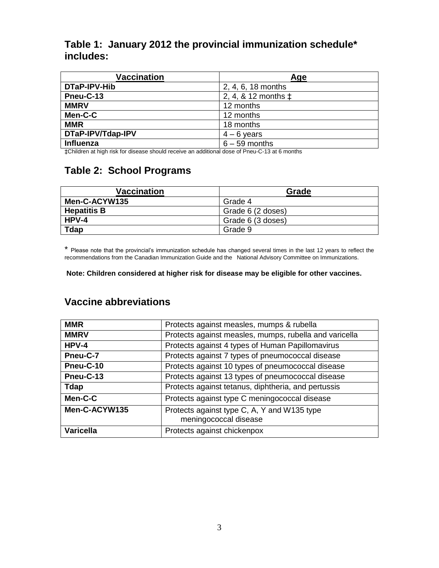#### **Table 1: January 2012 the provincial immunization schedule\* includes:**

| Vaccination       | Age                          |  |  |  |  |  |  |  |  |
|-------------------|------------------------------|--|--|--|--|--|--|--|--|
| DTaP-IPV-Hib      | 2, 4, 6, 18 months           |  |  |  |  |  |  |  |  |
| Pneu-C-13         | 2, 4, & 12 months $\ddagger$ |  |  |  |  |  |  |  |  |
| <b>MMRV</b>       | 12 months                    |  |  |  |  |  |  |  |  |
| Men-C-C           | 12 months                    |  |  |  |  |  |  |  |  |
| <b>MMR</b>        | 18 months                    |  |  |  |  |  |  |  |  |
| DTaP-IPV/Tdap-IPV | $4 - 6$ years                |  |  |  |  |  |  |  |  |
| Influenza         | $6 - 59$ months              |  |  |  |  |  |  |  |  |

‡Children at high risk for disease should receive an additional dose of Pneu-C-13 at 6 months

#### **Table 2: School Programs**

| <b>Vaccination</b> | Grade             |  |  |  |  |  |  |  |  |
|--------------------|-------------------|--|--|--|--|--|--|--|--|
| Men-C-ACYW135      | Grade 4           |  |  |  |  |  |  |  |  |
| <b>Hepatitis B</b> | Grade 6 (2 doses) |  |  |  |  |  |  |  |  |
| $HPV-4$            | Grade 6 (3 doses) |  |  |  |  |  |  |  |  |
| Tdap               | Grade 9           |  |  |  |  |  |  |  |  |

\* Please note that the provincial's immunization schedule has changed several times in the last 12 years to reflect the recommendations from the Canadian Immunization Guide and the National Advisory Committee on Immunizations.

#### **Note: Children considered at higher risk for disease may be eligible for other vaccines.**

#### **Vaccine abbreviations**

| <b>MMR</b>       | Protects against measles, mumps & rubella                            |
|------------------|----------------------------------------------------------------------|
| <b>MMRV</b>      | Protects against measles, mumps, rubella and varicella               |
| $HPV-4$          | Protects against 4 types of Human Papillomavirus                     |
| Pneu-C-7         | Protects against 7 types of pneumococcal disease                     |
| Pneu-C-10        | Protects against 10 types of pneumococcal disease                    |
| Pneu-C-13        | Protects against 13 types of pneumococcal disease                    |
| Tdap             | Protects against tetanus, diphtheria, and pertussis                  |
| Men-C-C          | Protects against type C meningococcal disease                        |
| Men-C-ACYW135    | Protects against type C, A, Y and W135 type<br>meningococcal disease |
| <b>Varicella</b> | Protects against chickenpox                                          |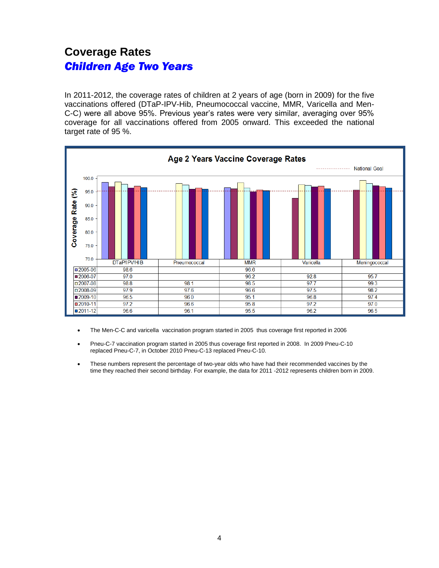# **Coverage Rates**  *Children Age Two Years*

In 2011-2012, the coverage rates of children at 2 years of age (born in 2009) for the five vaccinations offered (DTaP-IPV-Hib, Pneumococcal vaccine, MMR, Varicella and Men-C-C) were all above 95%. Previous year's rates were very similar, averaging over 95% coverage for all vaccinations offered from 2005 onward. This exceeded the national target rate of 95 %.



- The Men-C-C and varicella vaccination program started in 2005 thus coverage first reported in 2006
- Pneu-C-7 vaccination program started in 2005 thus coverage first reported in 2008. In 2009 Pneu-C-10 replaced Pneu-C-7, in October 2010 Pneu-C-13 replaced Pneu-C-10.
- These numbers represent the percentage of two-year olds who have had their recommended vaccines by the time they reached their second birthday. For example, the data for 2011 -2012 represents children born in 2009.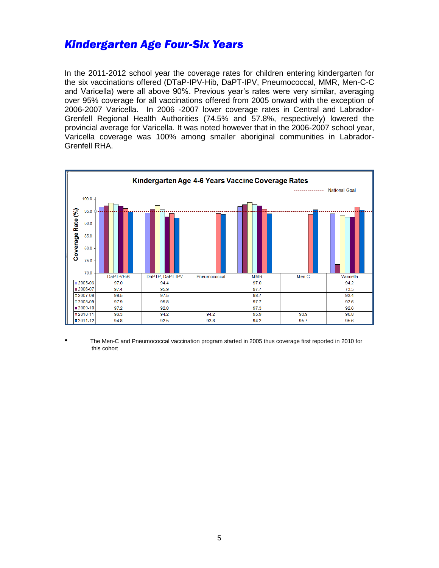## *Kindergarten Age Four-Six Years*

In the 2011-2012 school year the coverage rates for children entering kindergarten for the six vaccinations offered (DTaP-IPV-Hib, DaPT-IPV, Pneumococcal, MMR, Men-C-C and Varicella) were all above 90%. Previous year's rates were very similar, averaging over 95% coverage for all vaccinations offered from 2005 onward with the exception of 2006-2007 Varicella. In 2006 -2007 lower coverage rates in Central and Labrador-Grenfell Regional Health Authorities (74.5% and 57.8%, respectively) lowered the provincial average for Varicella. It was noted however that in the 2006-2007 school year, Varicella coverage was 100% among smaller aboriginal communities in Labrador-Grenfell RHA.



• The Men-C and Pneumococcal vaccination program started in 2005 thus coverage first reported in 2010 for this cohort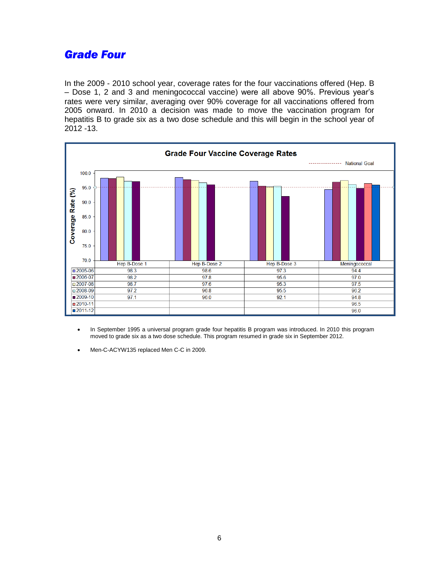## *Grade Four*

In the 2009 - 2010 school year, coverage rates for the four vaccinations offered (Hep. B – Dose 1, 2 and 3 and meningococcal vaccine) were all above 90%. Previous year's rates were very similar, averaging over 90% coverage for all vaccinations offered from 2005 onward. In 2010 a decision was made to move the vaccination program for hepatitis B to grade six as a two dose schedule and this will begin in the school year of 2012 -13.



- In September 1995 a universal program grade four hepatitis B program was introduced. In 2010 this program moved to grade six as a two dose schedule. This program resumed in grade six in September 2012.
- Men-C-ACYW135 replaced Men C-C in 2009.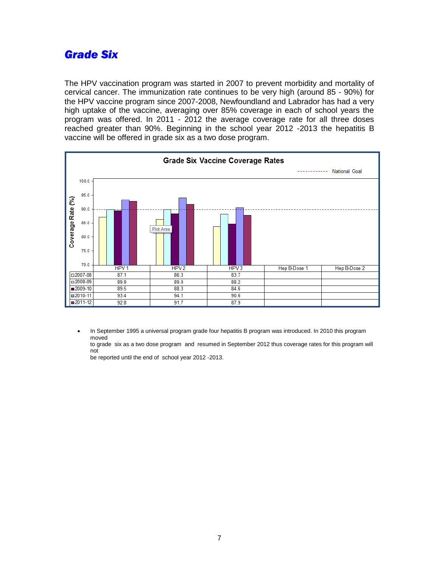## *Grade Six*

The HPV vaccination program was started in 2007 to prevent morbidity and mortality of cervical cancer. The immunization rate continues to be very high (around 85 - 90%) for the HPV vaccine program since 2007-2008, Newfoundland and Labrador has had a very high uptake of the vaccine, averaging over 85% coverage in each of school years the program was offered. In 2011 - 2012 the average coverage rate for all three doses reached greater than 90%. Beginning in the school year 2012 -2013 the hepatitis B vaccine will be offered in grade six as a two dose program.



 In September 1995 a universal program grade four hepatitis B program was introduced. In 2010 this program moved

to grade six as a two dose program and resumed in September 2012 thus coverage rates for this program will not

be reported until the end of school year 2012 -2013.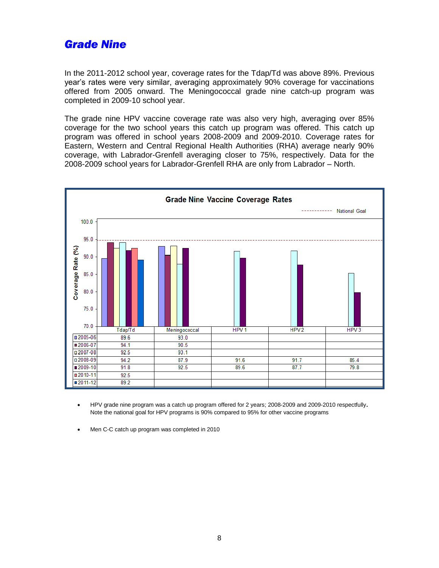## *Grade Nine*

In the 2011-2012 school year, coverage rates for the Tdap/Td was above 89%. Previous year's rates were very similar, averaging approximately 90% coverage for vaccinations offered from 2005 onward. The Meningococcal grade nine catch-up program was completed in 2009-10 school year.

The grade nine HPV vaccine coverage rate was also very high, averaging over 85% coverage for the two school years this catch up program was offered. This catch up program was offered in school years 2008-2009 and 2009-2010. Coverage rates for Eastern, Western and Central Regional Health Authorities (RHA) average nearly 90% coverage, with Labrador-Grenfell averaging closer to 75%, respectively. Data for the 2008-2009 school years for Labrador-Grenfell RHA are only from Labrador – North.



- HPV grade nine program was a catch up program offered for 2 years; 2008-2009 and 2009-2010 respectfully. Note the national goal for HPV programs is 90% compared to 95% for other vaccine programs
- Men C-C catch up program was completed in 2010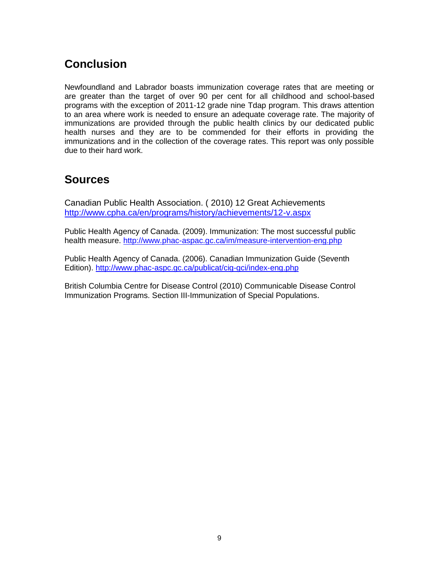# **Conclusion**

Newfoundland and Labrador boasts immunization coverage rates that are meeting or are greater than the target of over 90 per cent for all childhood and school-based programs with the exception of 2011-12 grade nine Tdap program. This draws attention to an area where work is needed to ensure an adequate coverage rate. The majority of immunizations are provided through the public health clinics by our dedicated public health nurses and they are to be commended for their efforts in providing the immunizations and in the collection of the coverage rates. This report was only possible due to their hard work.

## **Sources**

Canadian Public Health Association. ( 2010) 12 Great Achievements <http://www.cpha.ca/en/programs/history/achievements/12-v.aspx>

Public Health Agency of Canada. (2009). Immunization: The most successful public health measure.<http://www.phac-aspac.gc.ca/im/measure-intervention-eng.php>

Public Health Agency of Canada. (2006). Canadian Immunization Guide (Seventh Edition).<http://www.phac-aspc.gc.ca/publicat/cig-gci/index-eng.php>

British Columbia Centre for Disease Control (2010) Communicable Disease Control Immunization Programs. Section III-Immunization of Special Populations.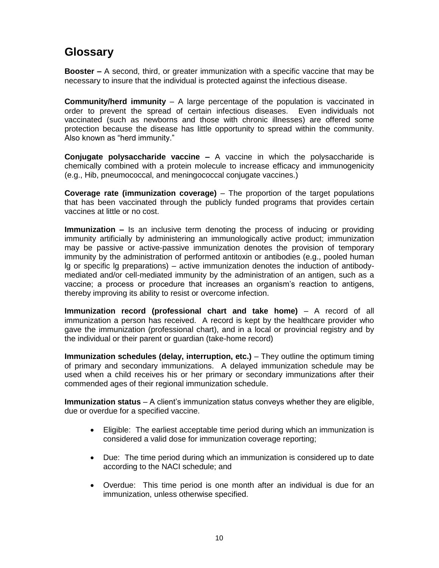# **Glossary**

**Booster –** A second, third, or greater immunization with a specific vaccine that may be necessary to insure that the individual is protected against the infectious disease.

**Community/herd immunity** – A large percentage of the population is vaccinated in order to prevent the spread of certain infectious diseases. Even individuals not vaccinated (such as newborns and those with chronic illnesses) are offered some protection because the disease has little opportunity to spread within the community. Also known as "herd immunity."

**Conjugate polysaccharide vaccine –** A vaccine in which the polysaccharide is chemically combined with a protein molecule to increase efficacy and immunogenicity (e.g., Hib, pneumococcal, and meningococcal conjugate vaccines.)

**Coverage rate (immunization coverage)** – The proportion of the target populations that has been vaccinated through the publicly funded programs that provides certain vaccines at little or no cost.

**Immunization –** Is an inclusive term denoting the process of inducing or providing immunity artificially by administering an immunologically active product; immunization may be passive or active-passive immunization denotes the provision of temporary immunity by the administration of performed antitoxin or antibodies (e.g., pooled human lg or specific lg preparations) – active immunization denotes the induction of antibodymediated and/or cell-mediated immunity by the administration of an antigen, such as a vaccine; a process or procedure that increases an organism's reaction to antigens, thereby improving its ability to resist or overcome infection.

**Immunization record (professional chart and take home)** – A record of all immunization a person has received. A record is kept by the healthcare provider who gave the immunization (professional chart), and in a local or provincial registry and by the individual or their parent or guardian (take-home record)

**Immunization schedules (delay, interruption, etc.)** – They outline the optimum timing of primary and secondary immunizations. A delayed immunization schedule may be used when a child receives his or her primary or secondary immunizations after their commended ages of their regional immunization schedule.

**Immunization status** – A client's immunization status conveys whether they are eligible, due or overdue for a specified vaccine.

- Eligible: The earliest acceptable time period during which an immunization is considered a valid dose for immunization coverage reporting;
- Due: The time period during which an immunization is considered up to date according to the NACI schedule; and
- Overdue: This time period is one month after an individual is due for an immunization, unless otherwise specified.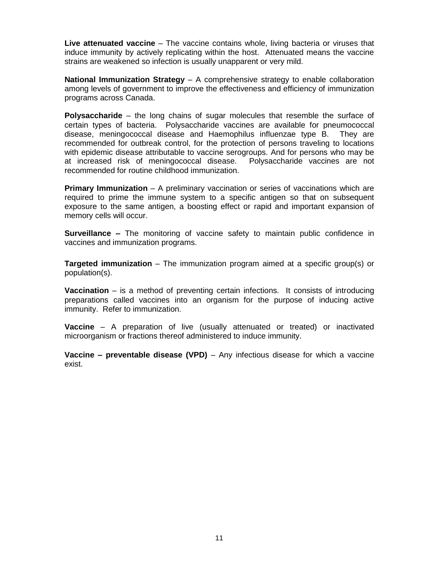**Live attenuated vaccine** – The vaccine contains whole, living bacteria or viruses that induce immunity by actively replicating within the host. Attenuated means the vaccine strains are weakened so infection is usually unapparent or very mild.

**National Immunization Strategy** – A comprehensive strategy to enable collaboration among levels of government to improve the effectiveness and efficiency of immunization programs across Canada.

**Polysaccharide** – the long chains of sugar molecules that resemble the surface of certain types of bacteria. Polysaccharide vaccines are available for pneumococcal disease, meningococcal disease and Haemophilus influenzae type B. They are recommended for outbreak control, for the protection of persons traveling to locations with epidemic disease attributable to vaccine serogroups. And for persons who may be at increased risk of meningococcal disease. Polysaccharide vaccines are not recommended for routine childhood immunization.

**Primary Immunization** – A preliminary vaccination or series of vaccinations which are required to prime the immune system to a specific antigen so that on subsequent exposure to the same antigen, a boosting effect or rapid and important expansion of memory cells will occur.

**Surveillance –** The monitoring of vaccine safety to maintain public confidence in vaccines and immunization programs.

**Targeted immunization** – The immunization program aimed at a specific group(s) or population(s).

**Vaccination** – is a method of preventing certain infections. It consists of introducing preparations called vaccines into an organism for the purpose of inducing active immunity. Refer to immunization.

**Vaccine** – A preparation of live (usually attenuated or treated) or inactivated microorganism or fractions thereof administered to induce immunity.

**Vaccine – preventable disease (VPD)** – Any infectious disease for which a vaccine exist.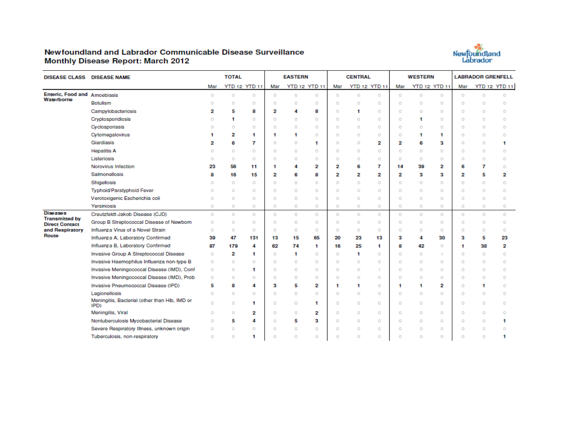#### Newfoundland and Labrador Communicable Disease Surveillance **Monthly Disease Report: March 2012**



| <b>DISEASE CLASS DISEASE NAME</b>        |                                                       |          | <b>TOTAL</b>   |                      |          | <b>EASTERN</b> |                      |          | <b>CENTRAL</b> |                      |          | <b>WESTERN</b> |                      | <b>LABRADOR GRENFELL</b> |          |                      |  |
|------------------------------------------|-------------------------------------------------------|----------|----------------|----------------------|----------|----------------|----------------------|----------|----------------|----------------------|----------|----------------|----------------------|--------------------------|----------|----------------------|--|
|                                          |                                                       | Mar      |                | <b>YTD 12 YTD 11</b> | Mar      |                | <b>YTD 12 YTD 11</b> | Mar      |                | <b>YTD 12 YTD 11</b> | Mar      |                | <b>YTD 12 YTD 11</b> | Mar                      |          | <b>YTD 12 YTD 11</b> |  |
| Enteric, Food and Amoebiasis             |                                                       | $\circ$  | $\circ$        | $\circ$              | $\circ$  | $\circ$        | $\circ$              | $\circ$  | $\circ$        | $\circ$              | $\circ$  | $\circ$        | 0                    | $\circ$                  | $\circ$  | $\circ$              |  |
| Waterborne                               | Botulism                                              | $\circ$  | $\circ$        | $\circ$              | $\Omega$ | $\circ$        | $\circ$              | $\circ$  | $\circ$        | $\circ$              | $\circ$  | $\circ$        | $\overline{0}$       | $\Omega$                 | $\Omega$ | $\Omega$             |  |
|                                          | Campylobacteriosis                                    | 2        | 5              | 8                    | 2        | 4              | 8                    | $\circ$  | 1              | $\Omega$             | $\circ$  | $\circ$        | 0                    | $\circ$                  | $\circ$  | $\circ$              |  |
|                                          | Cryptosporidiosis                                     | $\circ$  | 1              | $\circ$              | $\circ$  | $\circ$        | 0                    | $\circ$  | $\circ$        | $\Omega$             | $\circ$  | 1              | $\overline{0}$       | $\Omega$                 | $\circ$  | $\Omega$             |  |
|                                          | Cyclosporiasis                                        | $\Omega$ | $\Omega$       | $\Omega$             | $\Omega$ | $\circ$        | $\Omega$             | $\Omega$ | $\circ$        | $\Omega$             | $\Omega$ | $\Omega$       | $\overline{0}$       | $\Omega$                 | $\circ$  | $\Omega$             |  |
|                                          | Cytomegalovirus                                       | 1        | 2              | 1                    | 1        | 1              | 0                    | $\circ$  | 0              | $\circ$              | 0        | 1              | 1                    | 0                        | $\circ$  | $\Omega$             |  |
|                                          | Giardiasis                                            | 2        | 6              | 7                    | $\Omega$ | 0              | 1                    | $\circ$  | $\bf{O}$       | 2                    | 2        | 6              | 3                    | $\circ$                  | $\circ$  | 1                    |  |
|                                          | <b>Hepatitis A</b>                                    | $\circ$  | $\circ$        | $\Omega$             | $\Omega$ | $\circ$        | $\Omega$             | $\circ$  | $\circ$        | $\circ$              | $\circ$  | $\Omega$       | $\Omega$             | $\circ$                  | $\circ$  | $\Omega$             |  |
|                                          | Listeriosis                                           | $\circ$  | $\circ$        | 0                    | $\circ$  | $\circ$        | 0                    | $\circ$  | $\circ$        | $\circ$              | $\circ$  | $\circ$        | 0                    | $\circ$                  | $\circ$  | $\circ$              |  |
|                                          | Norovirus Infection                                   | 23       | 56             | 11                   | 1        | 4              | 2                    | 2        | 6              | 7                    | 14       | 39             | 2                    | 6                        | 7        | $\Omega$             |  |
|                                          | Salmonellosis                                         | 8        | 16             | 15                   | 2        | 6              | 8                    | 2        | 2              | 2                    | 2        | 3              | 3                    | 2                        | 5        | 2                    |  |
|                                          | Shigellosis                                           | $\circ$  | $\circ$        | $\circ$              | $\Omega$ | $\circ$        | 0                    | $\circ$  | $\bf{O}$       | $\circ$              | $\circ$  | $\circ$        | 0                    | $\circ$                  | $\circ$  | $\Omega$             |  |
|                                          | Typhoid/Paratyphoid Fever                             | $\circ$  | $\circ$        | 0                    | $\circ$  | $\circ$        | $\circ$              | $\circ$  | $\mathbf{O}$   | $\circ$              | $\circ$  | $\circ$        | 0                    | $\circ$                  | $\circ$  | $\Omega$             |  |
|                                          | Verotoxigenic Escherichia coli                        | 0        | $\circ$        | 0                    | $\circ$  | $\circ$        | $\circ$              | $\circ$  | 0              | $\circ$              | $\circ$  | $\circ$        | 0                    | $\circ$                  | $\circ$  | $\circ$              |  |
|                                          | Yersiniosis                                           | $\circ$  | $\circ$        | $\circ$              | $\circ$  | $\circ$        | $\circ$              | $\circ$  | $\circ$        | $\circ$              | $\circ$  | $\circ$        | 0                    | $\circ$                  | $\circ$  | $\circ$              |  |
| <b>Diseases</b><br><b>Transmitted by</b> | Creutzfeldt-Jakob Disease (CJD)                       | $\circ$  | $\circ$        | $\circ$              | $\circ$  | $\circ$        | $\circ$              | $\circ$  | $\circ$        | $\circ$              | $\circ$  | $\circ$        | $\circ$              | $\circ$                  | $\circ$  | $\overline{0}$       |  |
| <b>Direct Contact</b>                    | Group B Streptococcal Disease of Newborn              | $\circ$  | $\circ$        | $\circ$              | $\circ$  | 0              | $\circ$              | $\circ$  | $\circ$        | $\circ$              | $\circ$  | $\circ$        | $\circ$              | $\circ$                  | $\circ$  | $\circ$              |  |
| and Respiratory                          | Influenza Virus of a Novel Strain                     | $\circ$  | $\circ$        | $\Omega$             | $\circ$  | $\circ$        | $\Omega$             | $\circ$  | $\Omega$       | $\Omega$             | $\circ$  | $\circ$        | 0                    | $\circ$                  | $\circ$  | $\Omega$             |  |
| Route                                    | Influenza A, Laboratory Confirmed                     | 39       | 47             | 131                  | 13       | 15             | 65                   | 20       | 23             | 13                   | 3        | 4              | 30                   | 3                        | 5        | 23                   |  |
|                                          | Influenza B, Laboratory Confirmed                     | 87       | 179            | 4                    | 62       | 74             | 1                    | 16       | 25             | $\mathbf{1}$         | 8        | 42             | 0                    | 1                        | 38       | 2                    |  |
|                                          | Invasive Group A Streptococcal Disease                | $\circ$  | 2              | 1                    | O        | 1              | 0                    | $\circ$  | 1              | $\bf{0}$             | $\circ$  | 0              |                      | 0                        | 0        | $\Omega$             |  |
|                                          | Invasive Haemophilus Influenza non-type B             | $\circ$  | $\Omega$       | $\Omega$             | $\circ$  | $\Omega$       | $\Omega$             | $\circ$  | $\circ$        | $\Omega$             | $\circ$  | $\circ$        | 0                    | $\circ$                  | $\circ$  | $\Omega$             |  |
|                                          | Invasive Meningococcal Disease (IMD), Conf            | $\circ$  | $\circ$        | 1                    | $\circ$  | $\circ$        | $\circ$              | $\circ$  | $\circ$        | 1                    | $\circ$  | $\circ$        | 0                    | $\circ$                  | $\circ$  | $\Omega$             |  |
|                                          | Invasive Meningococcal Disease (IMD), Prob            | $\circ$  | $\circ$        | 0                    | $\circ$  | $\circ$        | 0                    | $\circ$  | $\circ$        | $\circ$              | $\circ$  | $\circ$        | 0                    | $\Omega$                 | $\circ$  | $\Omega$             |  |
|                                          | Invasive Pneumococcal Disease (IPD)                   | 5        | 8              | 4                    | 3        | 5              | 2                    | 1        | 1              | $\circ$              | 1        | 1              | 2                    | $\circ$                  | 1        | $\Omega$             |  |
|                                          | Legionellosis                                         | $\circ$  | $\circ$        | $\Omega$             | $\Omega$ | $\circ$        | $\Omega$             | $\circ$  | $\circ$        | $\Omega$             | $\circ$  | $\Omega$       | $\overline{0}$       | $\Omega$                 | $\circ$  | $\Omega$             |  |
|                                          | Meningitis, Bacterial (other than Hib, IMD or<br>IPD) | $\circ$  | $\overline{0}$ | 1                    | $\circ$  | 0              | 1                    | $\circ$  | $\mathbf{0}$   | $\circ$              | $\circ$  | $\circ$        | 0                    | $\circ$                  | $\circ$  | $\circ$              |  |
|                                          | Meningitis, Viral                                     | $\circ$  | $\circ$        | 2                    | $\Omega$ | $\circ$        | 2                    | $\Omega$ | $\circ$        | $\Omega$             | $\circ$  | $\circ$        | $\Omega$             | $\circ$                  | $\circ$  | $\Omega$             |  |
|                                          | Nontuberculosis Mycobacterial Disease                 | 0        | 5              | 4                    | $\circ$  | 5              | з                    | $\circ$  | $\circ$        | $\circ$              | $\circ$  | $\circ$        | 0                    | $\circ$                  | $\circ$  | м                    |  |
|                                          | Severe Respiratory Illness, unknown origin            | $\circ$  | $\Omega$       | $\Omega$             | $\Omega$ | $\circ$        | $\Omega$             | $\Omega$ | $\circ$        | $\Omega$             | $\Omega$ | $\Omega$       | $\overline{0}$       | $\Omega$                 | $\circ$  | $\Omega$             |  |
|                                          | Tuberculosis, non-respiratory                         | $\circ$  | $\circ$        | 1                    | o        | $\circ$        | 0                    | $\circ$  | $\circ$        | $\circ$              | $\circ$  | $\circ$        | 0                    | $\circ$                  | $\circ$  |                      |  |